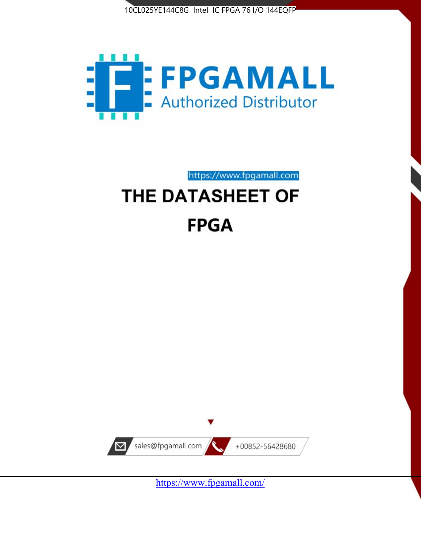



https://www.fpgamall.com

# THE DATASHEET OF **FPGA**



https://www.fpgamall.com/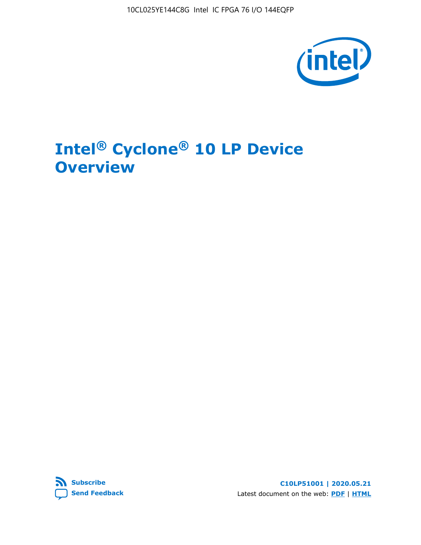10CL025YE144C8G Intel IC FPGA 76 I/O 144EQFP



# **Intel® Cyclone® 10 LP Device Overview**



**C10LP51001 | 2020.05.21** Latest document on the web: **[PDF](https://www.intel.com/content/dam/www/programmable/us/en/pdfs/literature/hb/cyclone-10/c10lp-51001.pdf)** | **[HTML](https://www.intel.com/content/www/us/en/programmable/documentation/hci1490246873896.html)**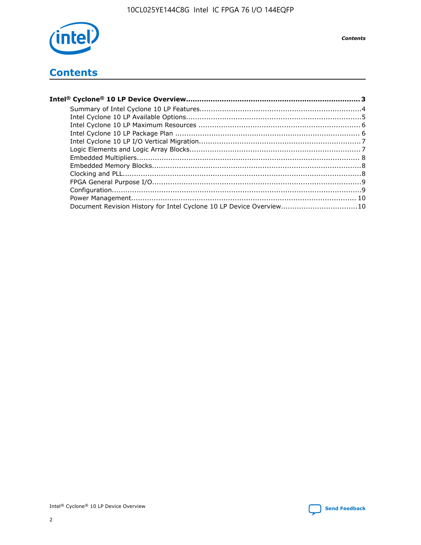

# **Contents**

| Document Revision History for Intel Cyclone 10 LP Device Overview10 |  |
|---------------------------------------------------------------------|--|
|                                                                     |  |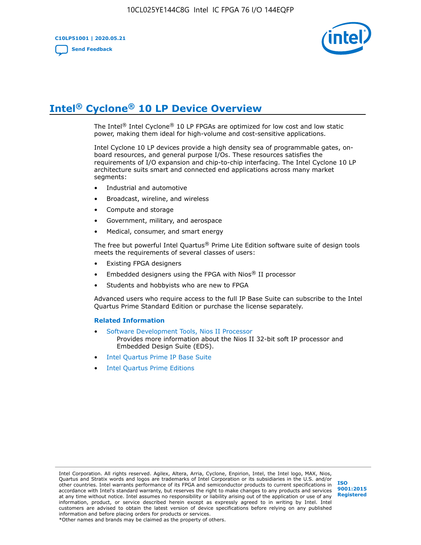

# **Intel® Cyclone® 10 LP Device Overview**

The Intel® Intel Cyclone® 10 LP FPGAs are optimized for low cost and low static power, making them ideal for high-volume and cost-sensitive applications.

Intel Cyclone 10 LP devices provide a high density sea of programmable gates, onboard resources, and general purpose I/Os. These resources satisfies the requirements of I/O expansion and chip-to-chip interfacing. The Intel Cyclone 10 LP architecture suits smart and connected end applications across many market segments:

- Industrial and automotive
- Broadcast, wireline, and wireless
- Compute and storage
- Government, military, and aerospace
- Medical, consumer, and smart energy

The free but powerful Intel Quartus® Prime Lite Edition software suite of design tools meets the requirements of several classes of users:

- Existing FPGA designers
- Embedded designers using the FPGA with Nios® II processor
- Students and hobbyists who are new to FPGA

Advanced users who require access to the full IP Base Suite can subscribe to the Intel Quartus Prime Standard Edition or purchase the license separately.

#### **Related Information**

- [Software Development Tools, Nios II Processor](https://www.altera.com/products/processors/design-tools.html) Provides more information about the Nios II 32-bit soft IP processor and Embedded Design Suite (EDS).
- [Intel Quartus Prime IP Base Suite](https://www.altera.com/products/intellectual-property/design/ip-base-suite.html)
- **[Intel Quartus Prime Editions](https://www.altera.com/products/design-software/fpga-design/quartus-prime/download.html)**

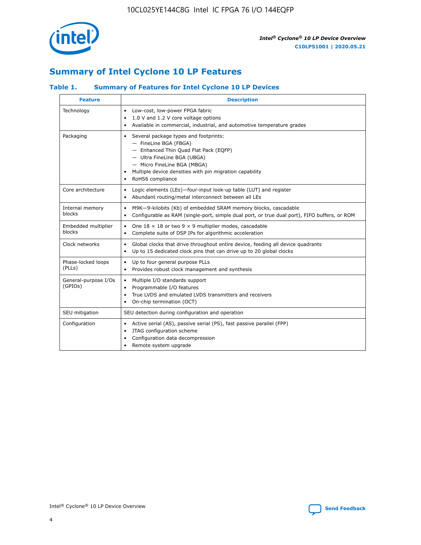

## **Summary of Intel Cyclone 10 LP Features**

## **Table 1. Summary of Features for Intel Cyclone 10 LP Devices**

| <b>Feature</b>                  | <b>Description</b>                                                                                                                                                                                                                                        |
|---------------------------------|-----------------------------------------------------------------------------------------------------------------------------------------------------------------------------------------------------------------------------------------------------------|
| Technology                      | Low-cost, low-power FPGA fabric<br>٠<br>1.0 V and 1.2 V core voltage options<br>Available in commercial, industrial, and automotive temperature grades                                                                                                    |
| Packaging                       | Several package types and footprints:<br>٠<br>- FineLine BGA (FBGA)<br>- Enhanced Thin Quad Flat Pack (EQFP)<br>- Ultra FineLine BGA (UBGA)<br>- Micro FineLine BGA (MBGA)<br>Multiple device densities with pin migration capability<br>RoHS6 compliance |
| Core architecture               | Logic elements (LEs)-four-input look-up table (LUT) and register<br>٠<br>Abundant routing/metal interconnect between all LEs<br>$\bullet$                                                                                                                 |
| Internal memory<br>blocks       | M9K-9-kilobits (Kb) of embedded SRAM memory blocks, cascadable<br>$\bullet$<br>Configurable as RAM (single-port, simple dual port, or true dual port), FIFO buffers, or ROM<br>$\bullet$                                                                  |
| Embedded multiplier<br>blocks   | One $18 \times 18$ or two 9 $\times$ 9 multiplier modes, cascadable<br>$\bullet$<br>Complete suite of DSP IPs for algorithmic acceleration<br>٠                                                                                                           |
| Clock networks                  | Global clocks that drive throughout entire device, feeding all device quadrants<br>٠<br>Up to 15 dedicated clock pins that can drive up to 20 global clocks                                                                                               |
| Phase-locked loops<br>(PLLs)    | Up to four general purpose PLLs<br>$\bullet$<br>Provides robust clock management and synthesis<br>$\bullet$                                                                                                                                               |
| General-purpose I/Os<br>(GPIOs) | Multiple I/O standards support<br>$\bullet$<br>Programmable I/O features<br>$\bullet$<br>True LVDS and emulated LVDS transmitters and receivers<br>٠<br>On-chip termination (OCT)<br>$\bullet$                                                            |
| SEU mitigation                  | SEU detection during configuration and operation                                                                                                                                                                                                          |
| Configuration                   | Active serial (AS), passive serial (PS), fast passive parallel (FPP)<br>$\bullet$<br>JTAG configuration scheme<br>$\bullet$<br>Configuration data decompression<br>Remote system upgrade<br>$\bullet$                                                     |

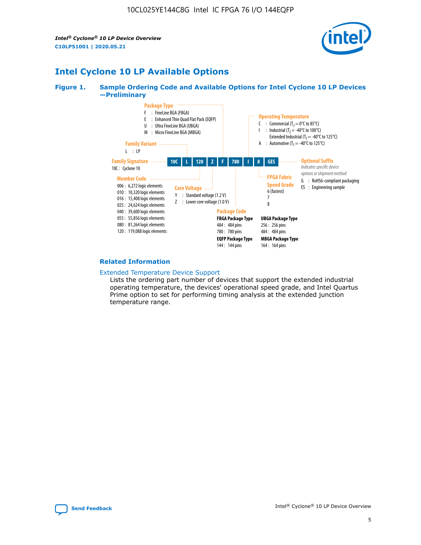*Intel® Cyclone® 10 LP Device Overview* **C10LP51001 | 2020.05.21**



## **Intel Cyclone 10 LP Available Options**

#### **Figure 1. Sample Ordering Code and Available Options for Intel Cyclone 10 LP Devices —Preliminary**



#### **Related Information**

#### [Extended Temperature Device Support](https://www.intel.com/content/www/us/en/products/programmable/temperature.html)

Lists the ordering part number of devices that support the extended industrial operating temperature, the devices' operational speed grade, and Intel Quartus Prime option to set for performing timing analysis at the extended junction temperature range.

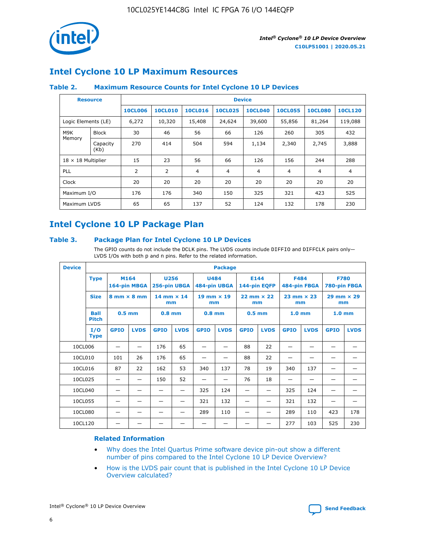

## **Intel Cyclone 10 LP Maximum Resources**

### **Table 2. Maximum Resource Counts for Intel Cyclone 10 LP Devices**

|                           | <b>Resource</b>  | <b>Device</b>  |                |                |                |                |                |                |                |
|---------------------------|------------------|----------------|----------------|----------------|----------------|----------------|----------------|----------------|----------------|
|                           |                  | <b>10CL006</b> | <b>10CL010</b> | <b>10CL016</b> | <b>10CL025</b> | <b>10CL040</b> | <b>10CL055</b> | <b>10CL080</b> | <b>10CL120</b> |
| Logic Elements (LE)       |                  | 6,272          | 10,320         | 15,408         | 24,624         | 39,600         | 55,856         | 81,264         | 119,088        |
| M9K                       | <b>Block</b>     | 30             | 46             | 56             | 66             | 126            | 260            | 305            | 432            |
| Memory                    | Capacity<br>(Kb) | 270            | 414            | 504            | 594            | 1,134          | 2,340          | 2,745          | 3,888          |
| $18 \times 18$ Multiplier |                  | 15             | 23             | 56             | 66             | 126            | 156            | 244            | 288            |
| <b>PLL</b>                |                  | 2              | 2              | 4              | 4              | $\overline{4}$ | 4              | $\overline{4}$ | 4              |
| Clock                     |                  | 20             | 20             | 20             | 20             | 20             | 20             | 20             | 20             |
| Maximum I/O               |                  | 176            | 176            | 340            | 150            | 325            | 321            | 423            | 525            |
| Maximum LVDS              |                  | 65             | 65             | 137            | 52             | 124            | 132            | 178            | 230            |

## **Intel Cyclone 10 LP Package Plan**

#### **Table 3. Package Plan for Intel Cyclone 10 LP Devices**

The GPIO counts do not include the DCLK pins. The LVDS counts include DIFFIO and DIFFCLK pairs only-LVDS I/Os with both p and n pins. Refer to the related information.

| <b>Device</b> | <b>Package</b>                                    |             |                           |             |                             |             |                           |             |                             |                   |                             |                   |             |
|---------------|---------------------------------------------------|-------------|---------------------------|-------------|-----------------------------|-------------|---------------------------|-------------|-----------------------------|-------------------|-----------------------------|-------------------|-------------|
|               | M164<br><b>Type</b><br>164-pin MBGA               |             | 256-pin UBGA              | <b>U256</b> | <b>U484</b><br>484-pin UBGA |             | E144<br>144-pin EQFP      |             | <b>F484</b><br>484-pin FBGA |                   | <b>F780</b><br>780-pin FBGA |                   |             |
|               | <b>Size</b><br>$8 \text{ mm} \times 8 \text{ mm}$ |             | $14$ mm $\times$ 14<br>mm |             | $19$ mm $\times$ 19<br>mm   |             | $22$ mm $\times$ 22<br>mm |             | $23$ mm $\times$ 23<br>mm   |                   | $29$ mm $\times$ 29<br>mm   |                   |             |
|               | <b>Ball</b><br><b>Pitch</b>                       | $0.5$ mm    |                           | $0.8$ mm    |                             | $0.8$ mm    |                           | $0.5$ mm    |                             | 1.0 <sub>mm</sub> |                             | 1.0 <sub>mm</sub> |             |
|               | I/O<br><b>Type</b>                                | <b>GPIO</b> | <b>LVDS</b>               | <b>GPIO</b> | <b>LVDS</b>                 | <b>GPIO</b> | <b>LVDS</b>               | <b>GPIO</b> | <b>LVDS</b>                 | <b>GPIO</b>       | <b>LVDS</b>                 | <b>GPIO</b>       | <b>LVDS</b> |
| 10CL006       |                                                   |             |                           | 176         | 65                          |             |                           | 88          | 22                          |                   |                             |                   |             |
| 10CL010       |                                                   | 101         | 26                        | 176         | 65                          |             |                           | 88          | 22                          |                   |                             |                   |             |
| 10CL016       |                                                   | 87          | 22                        | 162         | 53                          | 340         | 137                       | 78          | 19                          | 340               | 137                         |                   |             |
| 10CL025       |                                                   | —           | —                         | 150         | 52                          | —           |                           | 76          | 18                          | -                 | —                           |                   |             |
| 10CL040       |                                                   |             |                           |             |                             | 325         | 124                       |             |                             | 325               | 124                         |                   |             |
| 10CL055       |                                                   |             |                           |             |                             | 321         | 132                       |             |                             | 321               | 132                         |                   |             |
| 10CL080       |                                                   |             |                           |             |                             | 289         | 110                       |             |                             | 289               | 110                         | 423               | 178         |
| 10CL120       |                                                   |             |                           |             |                             |             |                           |             |                             | 277               | 103                         | 525               | 230         |

### **Related Information**

- [Why does the Intel Quartus Prime software device pin-out show a different](https://www.intel.com/content/altera-www/global/en_us/index/support/support-resources/knowledge-base/component/2020/why-does-intel--quartus--device-pinout-pin-count-shows-a-differe0.html) [number of pins compared to the Intel Cyclone 10 LP Device Overview?](https://www.intel.com/content/altera-www/global/en_us/index/support/support-resources/knowledge-base/component/2020/why-does-intel--quartus--device-pinout-pin-count-shows-a-differe0.html)
- [How is the LVDS pair count that is published in the Intel Cyclone 10 LP Device](https://www.intel.com/content/altera-www/global/en_us/index/support/support-resources/knowledge-base/component/2020/how-is-the-lvds-pair-count-in-intel--cyclone--10-device-overview.html) [Overview calculated?](https://www.intel.com/content/altera-www/global/en_us/index/support/support-resources/knowledge-base/component/2020/how-is-the-lvds-pair-count-in-intel--cyclone--10-device-overview.html)

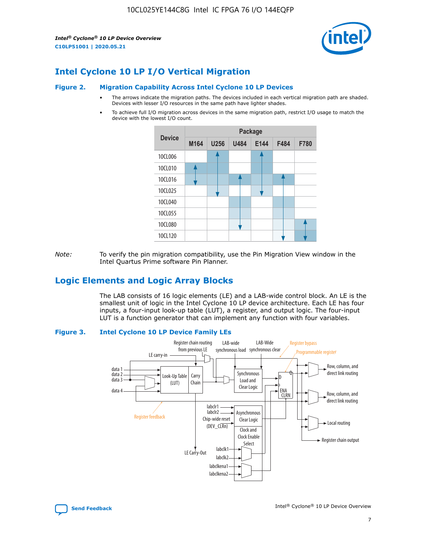*Intel® Cyclone® 10 LP Device Overview* **C10LP51001 | 2020.05.21**



## **Intel Cyclone 10 LP I/O Vertical Migration**

#### **Figure 2. Migration Capability Across Intel Cyclone 10 LP Devices**

- The arrows indicate the migration paths. The devices included in each vertical migration path are shaded. Devices with lesser I/O resources in the same path have lighter shades.
- To achieve full I/O migration across devices in the same migration path, restrict I/O usage to match the device with the lowest I/O count.



*Note:* To verify the pin migration compatibility, use the Pin Migration View window in the Intel Quartus Prime software Pin Planner.

## **Logic Elements and Logic Array Blocks**

The LAB consists of 16 logic elements (LE) and a LAB-wide control block. An LE is the smallest unit of logic in the Intel Cyclone 10 LP device architecture. Each LE has four inputs, a four-input look-up table (LUT), a register, and output logic. The four-input LUT is a function generator that can implement any function with four variables.

#### **Figure 3. Intel Cyclone 10 LP Device Family LEs**



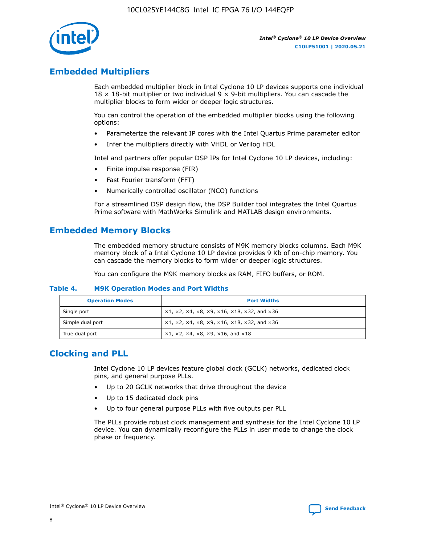

## **Embedded Multipliers**

Each embedded multiplier block in Intel Cyclone 10 LP devices supports one individual  $18 \times 18$ -bit multiplier or two individual 9  $\times$  9-bit multipliers. You can cascade the multiplier blocks to form wider or deeper logic structures.

You can control the operation of the embedded multiplier blocks using the following options:

- Parameterize the relevant IP cores with the Intel Quartus Prime parameter editor
- Infer the multipliers directly with VHDL or Verilog HDL

Intel and partners offer popular DSP IPs for Intel Cyclone 10 LP devices, including:

- Finite impulse response (FIR)
- Fast Fourier transform (FFT)
- Numerically controlled oscillator (NCO) functions

For a streamlined DSP design flow, the DSP Builder tool integrates the Intel Quartus Prime software with MathWorks Simulink and MATLAB design environments.

## **Embedded Memory Blocks**

The embedded memory structure consists of M9K memory blocks columns. Each M9K memory block of a Intel Cyclone 10 LP device provides 9 Kb of on-chip memory. You can cascade the memory blocks to form wider or deeper logic structures.

You can configure the M9K memory blocks as RAM, FIFO buffers, or ROM.

#### **Table 4. M9K Operation Modes and Port Widths**

| <b>Operation Modes</b> | <b>Port Widths</b>                           |
|------------------------|----------------------------------------------|
| Single port            | $x1, x2, x4, x8, x9, x16, x18, x32, and x36$ |
| Simple dual port       | $x1, x2, x4, x8, x9, x16, x18, x32, and x36$ |
| True dual port         | x1, x2, x4, x8, x9, x16, and x18             |

## **Clocking and PLL**

Intel Cyclone 10 LP devices feature global clock (GCLK) networks, dedicated clock pins, and general purpose PLLs.

- Up to 20 GCLK networks that drive throughout the device
- Up to 15 dedicated clock pins
- Up to four general purpose PLLs with five outputs per PLL

The PLLs provide robust clock management and synthesis for the Intel Cyclone 10 LP device. You can dynamically reconfigure the PLLs in user mode to change the clock phase or frequency.

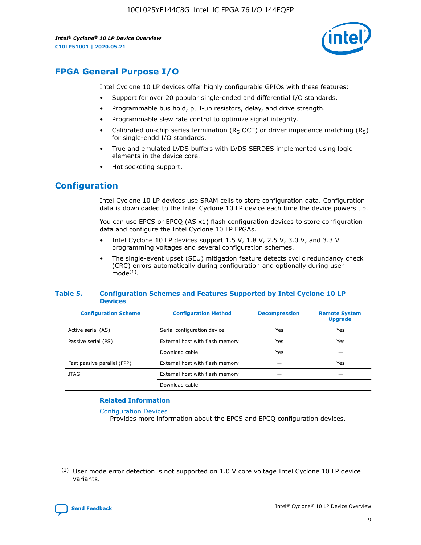*Intel® Cyclone® 10 LP Device Overview* **C10LP51001 | 2020.05.21**



## **FPGA General Purpose I/O**

Intel Cyclone 10 LP devices offer highly configurable GPIOs with these features:

- Support for over 20 popular single-ended and differential I/O standards.
- Programmable bus hold, pull-up resistors, delay, and drive strength.
- Programmable slew rate control to optimize signal integrity.
- Calibrated on-chip series termination ( $R<sub>S</sub>$  OCT) or driver impedance matching ( $R<sub>S</sub>$ ) for single-endd I/O standards.
- True and emulated LVDS buffers with LVDS SERDES implemented using logic elements in the device core.
- Hot socketing support.

## **Configuration**

Intel Cyclone 10 LP devices use SRAM cells to store configuration data. Configuration data is downloaded to the Intel Cyclone 10 LP device each time the device powers up.

You can use EPCS or EPCQ (AS x1) flash configuration devices to store configuration data and configure the Intel Cyclone 10 LP FPGAs.

- Intel Cyclone 10 LP devices support 1.5 V, 1.8 V, 2.5 V, 3.0 V, and 3.3 V programming voltages and several configuration schemes.
- The single-event upset (SEU) mitigation feature detects cyclic redundancy check (CRC) errors automatically during configuration and optionally during user  $mode<sup>(1)</sup>$ .

#### **Table 5. Configuration Schemes and Features Supported by Intel Cyclone 10 LP Devices**

| <b>Configuration Scheme</b> | <b>Configuration Method</b>     | <b>Decompression</b> | <b>Remote System</b><br><b>Upgrade</b> |  |
|-----------------------------|---------------------------------|----------------------|----------------------------------------|--|
| Active serial (AS)          | Serial configuration device     | Yes                  | Yes                                    |  |
| Passive serial (PS)         | External host with flash memory | Yes                  | Yes                                    |  |
|                             | Download cable                  | Yes                  |                                        |  |
| Fast passive parallel (FPP) | External host with flash memory |                      | Yes                                    |  |
| JTAG                        | External host with flash memory |                      |                                        |  |
|                             | Download cable                  |                      |                                        |  |

#### **Related Information**

[Configuration Devices](https://www.altera.com/products/configuration-devices/overview.html)

Provides more information about the EPCS and EPCQ configuration devices.

 $(1)$  User mode error detection is not supported on 1.0 V core voltage Intel Cyclone 10 LP device variants.

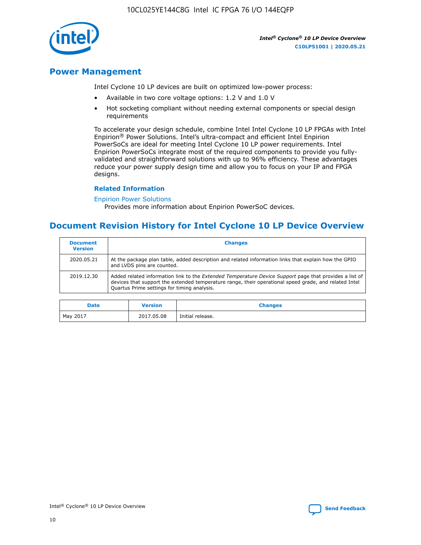

## **Power Management**

Intel Cyclone 10 LP devices are built on optimized low-power process:

- Available in two core voltage options: 1.2 V and 1.0 V
- Hot socketing compliant without needing external components or special design requirements

To accelerate your design schedule, combine Intel Intel Cyclone 10 LP FPGAs with Intel Enpirion® Power Solutions. Intel's ultra-compact and efficient Intel Enpirion PowerSoCs are ideal for meeting Intel Cyclone 10 LP power requirements. Intel Enpirion PowerSoCs integrate most of the required components to provide you fullyvalidated and straightforward solutions with up to 96% efficiency. These advantages reduce your power supply design time and allow you to focus on your IP and FPGA designs.

#### **Related Information**

#### [Enpirion Power Solutions](https://www.altera.com/products/power/devices.html)

Provides more information about Enpirion PowerSoC devices.

## **Document Revision History for Intel Cyclone 10 LP Device Overview**

| <b>Document</b><br><b>Version</b> | <b>Changes</b>                                                                                                                                                                                                                                                        |
|-----------------------------------|-----------------------------------------------------------------------------------------------------------------------------------------------------------------------------------------------------------------------------------------------------------------------|
| 2020.05.21                        | At the package plan table, added description and related information links that explain how the GPIO<br>and LVDS pins are counted.                                                                                                                                    |
| 2019.12.30                        | Added related information link to the <i>Extended Temperature Device Support</i> page that provides a list of<br>devices that support the extended temperature range, their operational speed grade, and related Intel<br>Quartus Prime settings for timing analysis. |

| <b>Date</b> | <b>Version</b> | <b>Changes</b>   |
|-------------|----------------|------------------|
| May 2017    | 2017.05.08     | Initial release. |